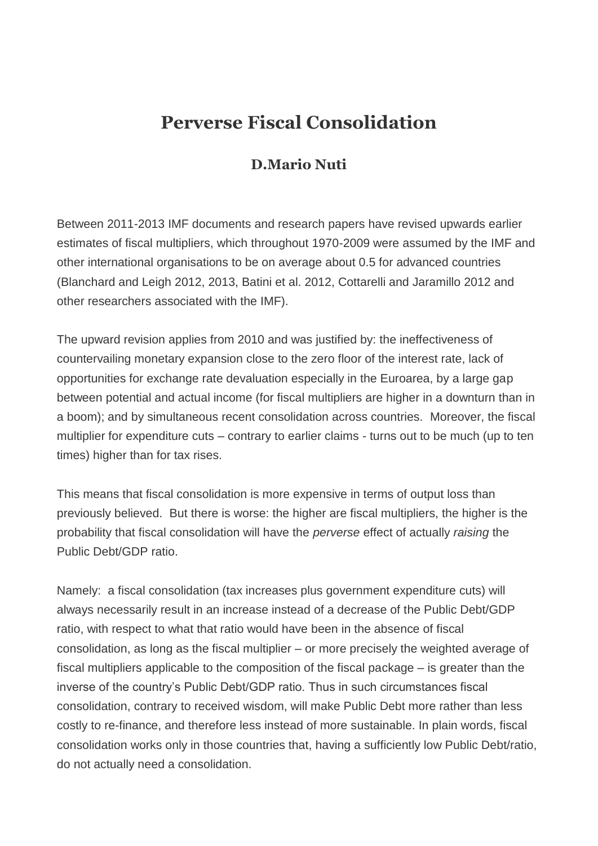## **Perverse Fiscal Consolidation**

## **D.Mario Nuti**

Between 2011-2013 IMF documents and research papers have revised upwards earlier estimates of fiscal multipliers, which throughout 1970-2009 were assumed by the IMF and other international organisations to be on average about 0.5 for advanced countries (Blanchard and Leigh 2012, 2013, Batini et al. 2012, Cottarelli and Jaramillo 2012 and other researchers associated with the IMF).

The upward revision applies from 2010 and was justified by: the ineffectiveness of countervailing monetary expansion close to the zero floor of the interest rate, lack of opportunities for exchange rate devaluation especially in the Euroarea, by a large gap between potential and actual income (for fiscal multipliers are higher in a downturn than in a boom); and by simultaneous recent consolidation across countries. Moreover, the fiscal multiplier for expenditure cuts – contrary to earlier claims - turns out to be much (up to ten times) higher than for tax rises.

This means that fiscal consolidation is more expensive in terms of output loss than previously believed. But there is worse: the higher are fiscal multipliers, the higher is the probability that fiscal consolidation will have the *perverse* effect of actually *raising* the Public Debt/GDP ratio.

Namely: a fiscal consolidation (tax increases plus government expenditure cuts) will always necessarily result in an increase instead of a decrease of the Public Debt/GDP ratio, with respect to what that ratio would have been in the absence of fiscal consolidation, as long as the fiscal multiplier – or more precisely the weighted average of fiscal multipliers applicable to the composition of the fiscal package – is greater than the inverse of the country's Public Debt/GDP ratio. Thus in such circumstances fiscal consolidation, contrary to received wisdom, will make Public Debt more rather than less costly to re-finance, and therefore less instead of more sustainable. In plain words, fiscal consolidation works only in those countries that, having a sufficiently low Public Debt/ratio, do not actually need a consolidation.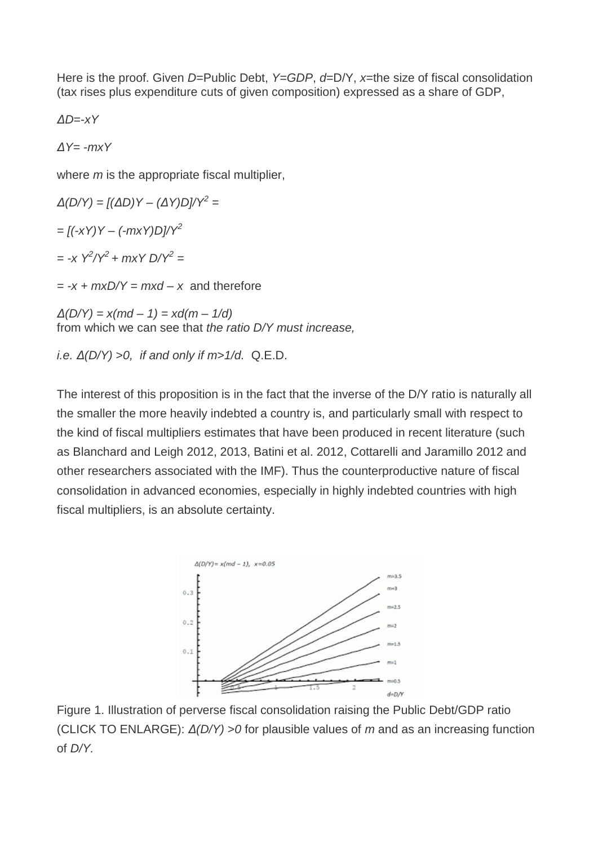Here is the proof. Given *D*=Public Debt, *Y*=*GDP*, *d*=D/Y, *x*=the size of fiscal consolidation (tax rises plus expenditure cuts of given composition) expressed as a share of GDP,

*ΔD*=-*xY*

*ΔY= -mxY* 

where *m* is the appropriate fiscal multiplier,

*Δ(D/Y) = [(ΔD)Y – (ΔY)D]/Y<sup>2</sup> = = [(-xY)Y – (-mxY)D]/Y<sup>2</sup>*

*= -x*  $Y^2/Y^2$  + *mxY D/Y<sup>2</sup>* =

 $= -x + mxD/Y = mxd - x$  and therefore

*Δ(D/Y) = x(md – 1) = xd(m – 1/d)* from which we can see that *the ratio D/Y must increase,*

*i.e. Δ(D/Y)* >*0, if and only if m*>*1/d.* Q.E.D.

The interest of this proposition is in the fact that the inverse of the D/Y ratio is naturally all the smaller the more heavily indebted a country is, and particularly small with respect to the kind of fiscal multipliers estimates that have been produced in recent literature (such as Blanchard and Leigh 2012, 2013, Batini et al. 2012, Cottarelli and Jaramillo 2012 and other researchers associated with the IMF). Thus the counterproductive nature of fiscal consolidation in advanced economies, especially in highly indebted countries with high fiscal multipliers, is an absolute certainty.



Figure 1. Illustration of perverse fiscal consolidation raising the Public Debt/GDP ratio (CLICK TO ENLARGE): *Δ(D/Y)* >*0* for plausible values of *m* and as an increasing function of *D/Y.*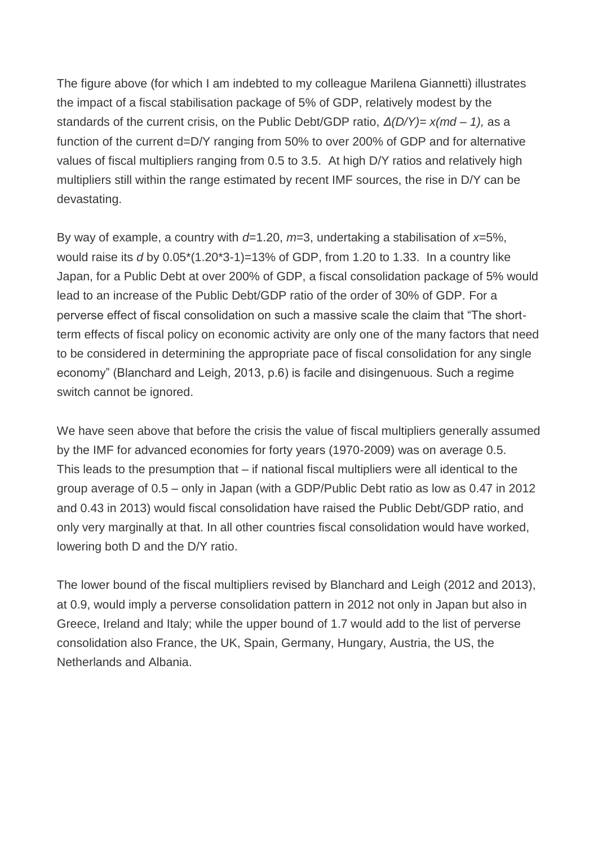The figure above (for which I am indebted to my colleague Marilena Giannetti) illustrates the impact of a fiscal stabilisation package of 5% of GDP, relatively modest by the standards of the current crisis, on the Public Debt/GDP ratio, *Δ(D/Y)= x(md – 1),* as a function of the current d=D/Y ranging from 50% to over 200% of GDP and for alternative values of fiscal multipliers ranging from 0.5 to 3.5. At high D/Y ratios and relatively high multipliers still within the range estimated by recent IMF sources, the rise in D/Y can be devastating.

By way of example, a country with *d*=1.20, *m*=3, undertaking a stabilisation of *x*=5%, would raise its *d* by 0.05\*(1.20\*3-1)=13% of GDP, from 1.20 to 1.33. In a country like Japan, for a Public Debt at over 200% of GDP, a fiscal consolidation package of 5% would lead to an increase of the Public Debt/GDP ratio of the order of 30% of GDP. For a perverse effect of fiscal consolidation on such a massive scale the claim that "The shortterm effects of fiscal policy on economic activity are only one of the many factors that need to be considered in determining the appropriate pace of fiscal consolidation for any single economy" (Blanchard and Leigh, 2013, p.6) is facile and disingenuous. Such a regime switch cannot be ignored.

We have seen above that before the crisis the value of fiscal multipliers generally assumed by the IMF for advanced economies for forty years (1970-2009) was on average 0.5. This leads to the presumption that – if national fiscal multipliers were all identical to the group average of 0.5 – only in Japan (with a GDP/Public Debt ratio as low as 0.47 in 2012 and 0.43 in 2013) would fiscal consolidation have raised the Public Debt/GDP ratio, and only very marginally at that. In all other countries fiscal consolidation would have worked, lowering both D and the D/Y ratio.

The lower bound of the fiscal multipliers revised by Blanchard and Leigh (2012 and 2013), at 0.9, would imply a perverse consolidation pattern in 2012 not only in Japan but also in Greece, Ireland and Italy; while the upper bound of 1.7 would add to the list of perverse consolidation also France, the UK, Spain, Germany, Hungary, Austria, the US, the Netherlands and Albania.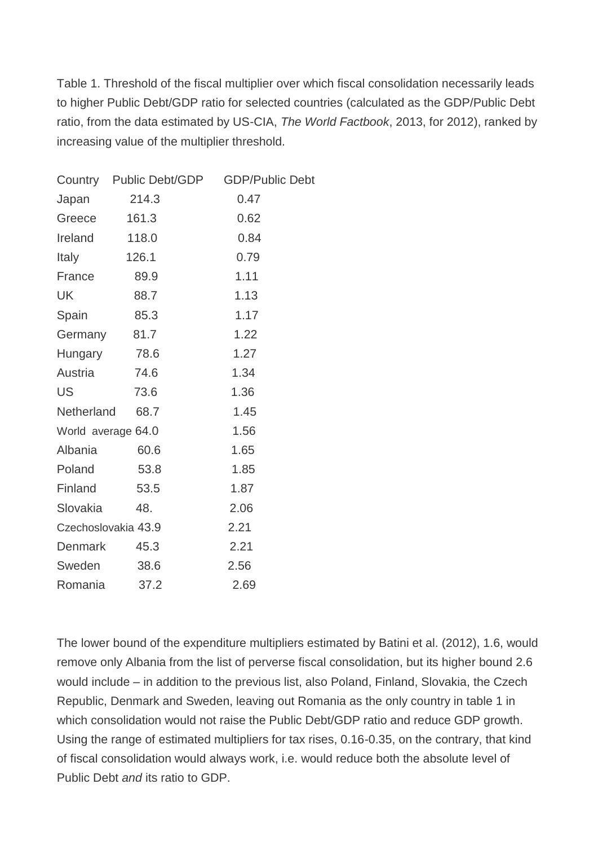Table 1. Threshold of the fiscal multiplier over which fiscal consolidation necessarily leads to higher Public Debt/GDP ratio for selected countries (calculated as the GDP/Public Debt ratio, from the data estimated by US-CIA, *The World Factbook*, 2013, for 2012), ranked by increasing value of the multiplier threshold.

|                     | Country Public Debt/GDP | <b>GDP/Public Debt</b> |
|---------------------|-------------------------|------------------------|
| Japan               | 214.3                   | 0.47                   |
| Greece              | 161.3                   | 0.62                   |
| Ireland             | 118.0                   | 0.84                   |
| Italy               | 126.1                   | 0.79                   |
| France              | 89.9                    | 1.11                   |
| UK                  | 88.7                    | 1.13                   |
| Spain               | 85.3                    | 1.17                   |
| Germany 81.7        |                         | 1.22                   |
| Hungary 78.6        |                         | 1.27                   |
| Austria             | 74.6                    | 1.34                   |
| US                  | 73.6                    | 1.36                   |
| Netherland          | 68.7                    | 1.45                   |
| World average 64.0  |                         | 1.56                   |
| Albania             | 60.6                    | 1.65                   |
| Poland              | 53.8                    | 1.85                   |
| Finland             | 53.5                    | 1.87                   |
| Slovakia            | 48.                     | 2.06                   |
| Czechoslovakia 43.9 |                         | 2.21                   |
| Denmark             | 45.3                    | 2.21                   |
| Sweden              | 38.6                    | 2.56                   |
| Romania             | 37.2                    | 2.69                   |
|                     |                         |                        |

The lower bound of the expenditure multipliers estimated by Batini et al. (2012), 1.6, would remove only Albania from the list of perverse fiscal consolidation, but its higher bound 2.6 would include – in addition to the previous list, also Poland, Finland, Slovakia, the Czech Republic, Denmark and Sweden, leaving out Romania as the only country in table 1 in which consolidation would not raise the Public Debt/GDP ratio and reduce GDP growth. Using the range of estimated multipliers for tax rises, 0.16-0.35, on the contrary, that kind of fiscal consolidation would always work, i.e. would reduce both the absolute level of Public Debt *and* its ratio to GDP.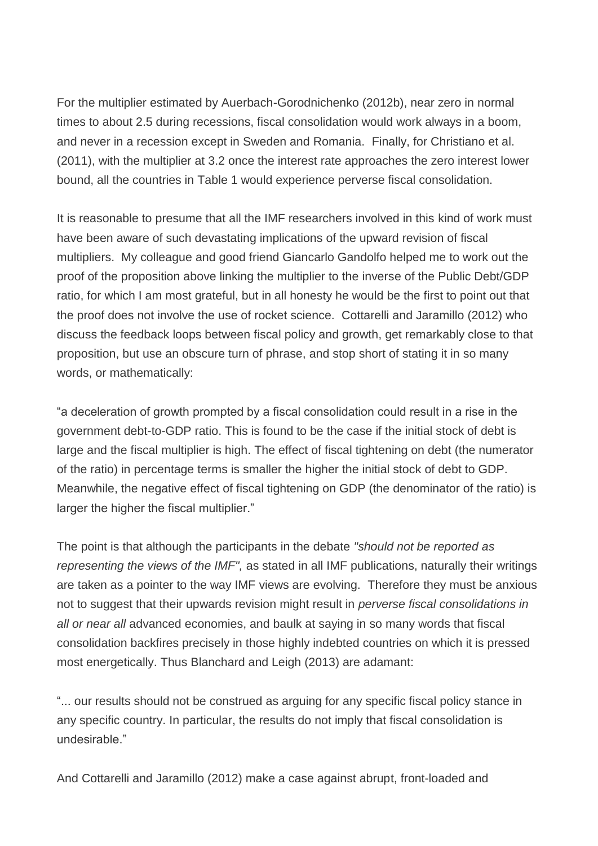For the multiplier estimated by Auerbach-Gorodnichenko (2012b), near zero in normal times to about 2.5 during recessions, fiscal consolidation would work always in a boom, and never in a recession except in Sweden and Romania. Finally, for Christiano et al. (2011), with the multiplier at 3.2 once the interest rate approaches the zero interest lower bound, all the countries in Table 1 would experience perverse fiscal consolidation.

It is reasonable to presume that all the IMF researchers involved in this kind of work must have been aware of such devastating implications of the upward revision of fiscal multipliers. My colleague and good friend Giancarlo Gandolfo helped me to work out the proof of the proposition above linking the multiplier to the inverse of the Public Debt/GDP ratio, for which I am most grateful, but in all honesty he would be the first to point out that the proof does not involve the use of rocket science. Cottarelli and Jaramillo (2012) who discuss the feedback loops between fiscal policy and growth, get remarkably close to that proposition, but use an obscure turn of phrase, and stop short of stating it in so many words, or mathematically:

"a deceleration of growth prompted by a fiscal consolidation could result in a rise in the government debt-to-GDP ratio. This is found to be the case if the initial stock of debt is large and the fiscal multiplier is high. The effect of fiscal tightening on debt (the numerator of the ratio) in percentage terms is smaller the higher the initial stock of debt to GDP. Meanwhile, the negative effect of fiscal tightening on GDP (the denominator of the ratio) is larger the higher the fiscal multiplier."

The point is that although the participants in the debate *"should not be reported as representing the views of the IMF",* as stated in all IMF publications, naturally their writings are taken as a pointer to the way IMF views are evolving. Therefore they must be anxious not to suggest that their upwards revision might result in *perverse fiscal consolidations in all or near all* advanced economies, and baulk at saying in so many words that fiscal consolidation backfires precisely in those highly indebted countries on which it is pressed most energetically. Thus Blanchard and Leigh (2013) are adamant:

"... our results should not be construed as arguing for any specific fiscal policy stance in any specific country. In particular, the results do not imply that fiscal consolidation is undesirable."

And Cottarelli and Jaramillo (2012) make a case against abrupt, front-loaded and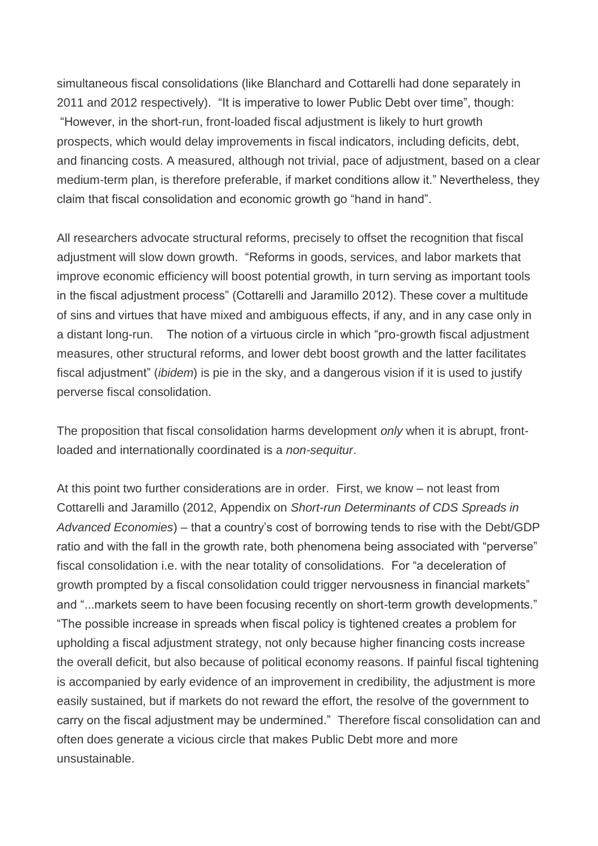simultaneous fiscal consolidations (like Blanchard and Cottarelli had done separately in 2011 and 2012 respectively). "It is imperative to lower Public Debt over time", though: "However, in the short-run, front-loaded fiscal adjustment is likely to hurt growth prospects, which would delay improvements in fiscal indicators, including deficits, debt, and financing costs. A measured, although not trivial, pace of adjustment, based on a clear medium-term plan, is therefore preferable, if market conditions allow it." Nevertheless, they claim that fiscal consolidation and economic growth go "hand in hand".

All researchers advocate structural reforms, precisely to offset the recognition that fiscal adjustment will slow down growth. "Reforms in goods, services, and labor markets that improve economic efficiency will boost potential growth, in turn serving as important tools in the fiscal adjustment process" (Cottarelli and Jaramillo 2012). These cover a multitude of sins and virtues that have mixed and ambiguous effects, if any, and in any case only in a distant long-run. The notion of a virtuous circle in which "pro-growth fiscal adjustment measures, other structural reforms, and lower debt boost growth and the latter facilitates fiscal adjustment" (*ibidem*) is pie in the sky, and a dangerous vision if it is used to justify perverse fiscal consolidation.

The proposition that fiscal consolidation harms development *only* when it is abrupt, frontloaded and internationally coordinated is a *non-sequitur*.

At this point two further considerations are in order. First, we know – not least from Cottarelli and Jaramillo (2012, Appendix on *Short-run Determinants of CDS Spreads in Advanced Economies*) – that a country's cost of borrowing tends to rise with the Debt/GDP ratio and with the fall in the growth rate, both phenomena being associated with "perverse" fiscal consolidation i.e. with the near totality of consolidations. For "a deceleration of growth prompted by a fiscal consolidation could trigger nervousness in financial markets" and "...markets seem to have been focusing recently on short-term growth developments." "The possible increase in spreads when fiscal policy is tightened creates a problem for upholding a fiscal adjustment strategy, not only because higher financing costs increase the overall deficit, but also because of political economy reasons. If painful fiscal tightening is accompanied by early evidence of an improvement in credibility, the adjustment is more easily sustained, but if markets do not reward the effort, the resolve of the government to carry on the fiscal adjustment may be undermined." Therefore fiscal consolidation can and often does generate a vicious circle that makes Public Debt more and more unsustainable.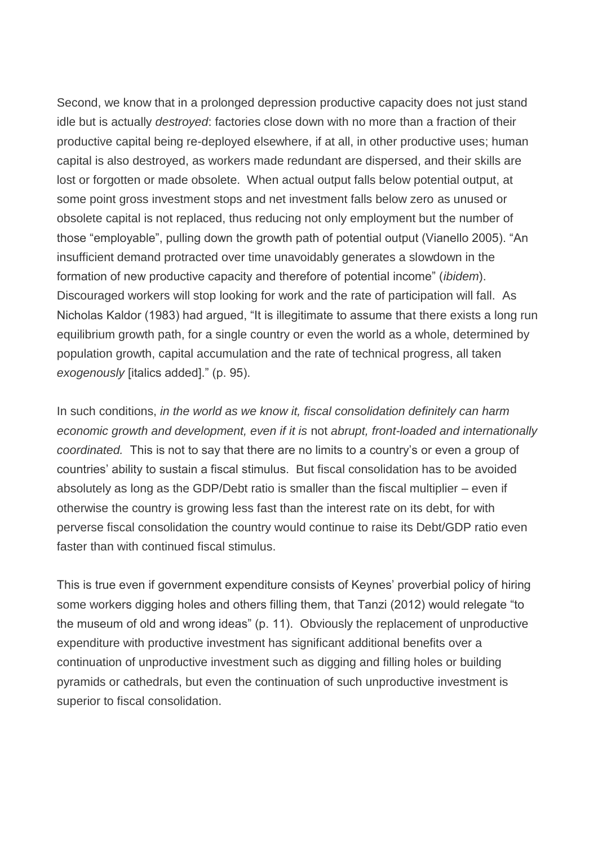Second, we know that in a prolonged depression productive capacity does not just stand idle but is actually *destroyed*: factories close down with no more than a fraction of their productive capital being re-deployed elsewhere, if at all, in other productive uses; human capital is also destroyed, as workers made redundant are dispersed, and their skills are lost or forgotten or made obsolete. When actual output falls below potential output, at some point gross investment stops and net investment falls below zero as unused or obsolete capital is not replaced, thus reducing not only employment but the number of those "employable", pulling down the growth path of potential output (Vianello 2005). "An insufficient demand protracted over time unavoidably generates a slowdown in the formation of new productive capacity and therefore of potential income" (*ibidem*). Discouraged workers will stop looking for work and the rate of participation will fall. As Nicholas Kaldor (1983) had argued, "It is illegitimate to assume that there exists a long run equilibrium growth path, for a single country or even the world as a whole, determined by population growth, capital accumulation and the rate of technical progress, all taken *exogenously* [italics added]." (p. 95).

In such conditions, *in the world as we know it, fiscal consolidation definitely can harm economic growth and development, even if it is* not *abrupt, front-loaded and internationally coordinated.* This is not to say that there are no limits to a country's or even a group of countries' ability to sustain a fiscal stimulus. But fiscal consolidation has to be avoided absolutely as long as the GDP/Debt ratio is smaller than the fiscal multiplier – even if otherwise the country is growing less fast than the interest rate on its debt, for with perverse fiscal consolidation the country would continue to raise its Debt/GDP ratio even faster than with continued fiscal stimulus.

This is true even if government expenditure consists of Keynes' proverbial policy of hiring some workers digging holes and others filling them, that Tanzi (2012) would relegate "to the museum of old and wrong ideas" (p. 11). Obviously the replacement of unproductive expenditure with productive investment has significant additional benefits over a continuation of unproductive investment such as digging and filling holes or building pyramids or cathedrals, but even the continuation of such unproductive investment is superior to fiscal consolidation.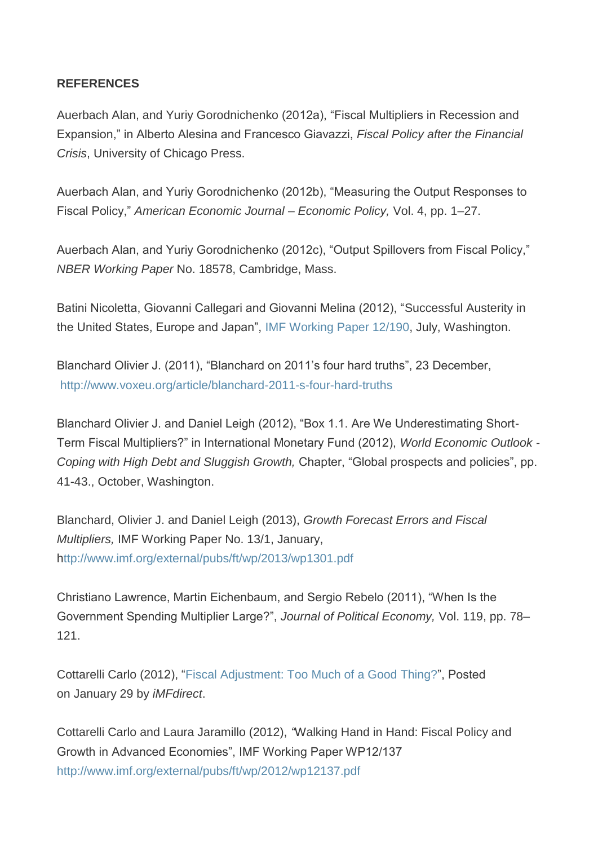## **REFERENCES**

Auerbach Alan, and Yuriy Gorodnichenko (2012a), "Fiscal Multipliers in Recession and Expansion," in Alberto Alesina and Francesco Giavazzi, *Fiscal Policy after the Financial Crisis*, University of Chicago Press.

Auerbach Alan, and Yuriy Gorodnichenko (2012b), "Measuring the Output Responses to Fiscal Policy," *American Economic Journal – Economic Policy,* Vol. 4, pp. 1–27.

Auerbach Alan, and Yuriy Gorodnichenko (2012c), "Output Spillovers from Fiscal Policy," *NBER Working Paper* No. 18578, Cambridge, Mass.

Batini Nicoletta, Giovanni Callegari and Giovanni Melina (2012), "Successful Austerity in the United States, Europe and Japan", [IMF Working Paper 12/190,](http://www.imf.org/external/pubs/ft/wp/2012/wp12190.pdf) July, Washington.

Blanchard Olivier J. (2011), "Blanchard on 2011's four hard truths", 23 December, <http://www.voxeu.org/article/blanchard-2011-s-four-hard-truths>

Blanchard Olivier J. and Daniel Leigh (2012), "Box 1.1. Are We Underestimating Short-Term Fiscal Multipliers?" in International Monetary Fund (2012), *World Economic Outlook - Coping with High Debt and Sluggish Growth,* Chapter, "Global prospects and policies", pp. 41-43., October, Washington.

Blanchard, Olivier J. and Daniel Leigh (2013), *Growth Forecast Errors and Fiscal Multipliers,* IMF Working Paper No. 13/1, January, <http://www.imf.org/external/pubs/ft/wp/2013/wp1301.pdf>

Christiano Lawrence, Martin Eichenbaum, and Sergio Rebelo (2011), "When Is the Government Spending Multiplier Large?", *Journal of Political Economy,* Vol. 119, pp. 78– 121.

Cottarelli Carlo (2012), ["Fiscal Adjustment: Too Much of a Good](http://blog-imfdirect.imf.org/2012/01/29/fiscal-adjustment-too-much-of-a-good-thing/) Thing?", Posted on January 29 by *iMFdirect*.

Cottarelli Carlo and Laura Jaramillo (2012), *"*Walking Hand in Hand: Fiscal Policy and Growth in Advanced Economies", IMF Working Paper WP12/137 <http://www.imf.org/external/pubs/ft/wp/2012/wp12137.pdf>